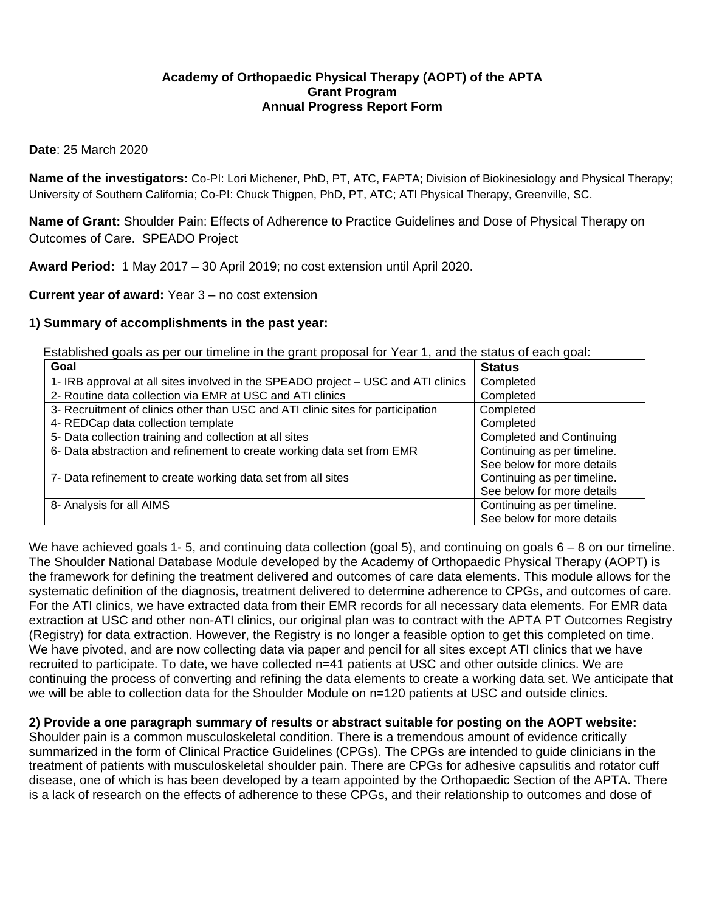## **Academy of Orthopaedic Physical Therapy (AOPT) of the APTA Grant Program Annual Progress Report Form**

#### **Date**: 25 March 2020

**Name of the investigators:** Co-PI: Lori Michener, PhD, PT, ATC, FAPTA; Division of Biokinesiology and Physical Therapy; University of Southern California; Co-PI: Chuck Thigpen, PhD, PT, ATC; ATI Physical Therapy, Greenville, SC.

**Name of Grant:** Shoulder Pain: Effects of Adherence to Practice Guidelines and Dose of Physical Therapy on Outcomes of Care. SPEADO Project

**Award Period:** 1 May 2017 – 30 April 2019; no cost extension until April 2020.

**Current year of award:** Year 3 – no cost extension

#### **1) Summary of accomplishments in the past year:**

Established goals as per our timeline in the grant proposal for Year 1, and the status of each goal:

| Goal                                                                              | <b>Status</b>                   |  |  |  |
|-----------------------------------------------------------------------------------|---------------------------------|--|--|--|
| 1- IRB approval at all sites involved in the SPEADO project – USC and ATI clinics | Completed                       |  |  |  |
| 2- Routine data collection via EMR at USC and ATI clinics                         | Completed                       |  |  |  |
| 3- Recruitment of clinics other than USC and ATI clinic sites for participation   | Completed                       |  |  |  |
| 4- REDCap data collection template                                                | Completed                       |  |  |  |
| 5- Data collection training and collection at all sites                           | <b>Completed and Continuing</b> |  |  |  |
| 6- Data abstraction and refinement to create working data set from EMR            | Continuing as per timeline.     |  |  |  |
|                                                                                   | See below for more details      |  |  |  |
| 7- Data refinement to create working data set from all sites                      | Continuing as per timeline.     |  |  |  |
|                                                                                   | See below for more details      |  |  |  |
| 8- Analysis for all AIMS                                                          | Continuing as per timeline.     |  |  |  |
|                                                                                   | See below for more details      |  |  |  |

We have achieved goals 1-5, and continuing data collection (goal 5), and continuing on goals 6 – 8 on our timeline. The Shoulder National Database Module developed by the Academy of Orthopaedic Physical Therapy (AOPT) is the framework for defining the treatment delivered and outcomes of care data elements. This module allows for the systematic definition of the diagnosis, treatment delivered to determine adherence to CPGs, and outcomes of care. For the ATI clinics, we have extracted data from their EMR records for all necessary data elements. For EMR data extraction at USC and other non-ATI clinics, our original plan was to contract with the APTA PT Outcomes Registry (Registry) for data extraction. However, the Registry is no longer a feasible option to get this completed on time. We have pivoted, and are now collecting data via paper and pencil for all sites except ATI clinics that we have recruited to participate. To date, we have collected n=41 patients at USC and other outside clinics. We are continuing the process of converting and refining the data elements to create a working data set. We anticipate that we will be able to collection data for the Shoulder Module on  $n=120$  patients at USC and outside clinics.

**2) Provide a one paragraph summary of results or abstract suitable for posting on the AOPT website:**  Shoulder pain is a common musculoskeletal condition. There is a tremendous amount of evidence critically summarized in the form of Clinical Practice Guidelines (CPGs). The CPGs are intended to guide clinicians in the treatment of patients with musculoskeletal shoulder pain. There are CPGs for adhesive capsulitis and rotator cuff disease, one of which is has been developed by a team appointed by the Orthopaedic Section of the APTA. There is a lack of research on the effects of adherence to these CPGs, and their relationship to outcomes and dose of